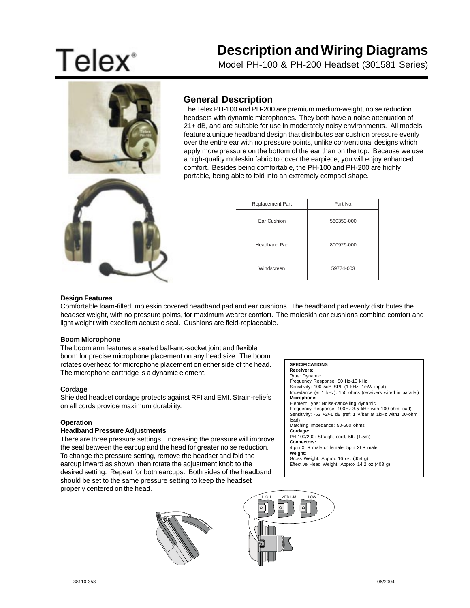# **Telex**<sup>\*</sup>

## **Description and Wiring Diagrams**

Model PH-100 & PH-200 Headset (301581 Series)



### **General Description**

The Telex PH-100 and PH-200 are premium medium-weight, noise reduction headsets with dynamic microphones. They both have a noise attenuation of 21+ dB, and are suitable for use in moderately noisy environments. All models feature a unique headband design that distributes ear cushion pressure evenly over the entire ear with no pressure points, unlike conventional designs which apply more pressure on the bottom of the ear than on the top. Because we use a high-quality moleskin fabric to cover the earpiece, you will enjoy enhanced comfort. Besides being comfortable, the PH-100 and PH-200 are highly portable, being able to fold into an extremely compact shape.

| Replacement Part | Part No.   |  |
|------------------|------------|--|
| Ear Cushion      | 560353-000 |  |
| Headband Pad     | 800929-000 |  |
| Windscreen       | 59774-003  |  |

#### **Design Features**

Comfortable foam-filled, moleskin covered headband pad and ear cushions. The headband pad evenly distributes the headset weight, with no pressure points, for maximum wearer comfort. The moleskin ear cushions combine comfort and light weight with excellent acoustic seal. Cushions are field-replaceable.

#### **Boom Microphone**

The boom arm features a sealed ball-and-socket joint and flexible boom for precise microphone placement on any head size. The boom rotates overhead for microphone placement on either side of the head. The microphone cartridge is a dynamic element.

#### **Cordage**

Shielded headset cordage protects against RFI and EMI. Strain-reliefs on all cords provide maximum durability.

#### **Operation**

#### **Headband Pressure Adjustments**

There are three pressure settings. Increasing the pressure will improve the seal between the earcup and the head for greater noise reduction. To change the pressure setting, remove the headset and fold the earcup inward as shown, then rotate the adjustment knob to the desired setting. Repeat for both earcups. Both sides of the headband should be set to the same pressure setting to keep the headset properly centered on the head.

#### **SPECIFICATIONS**

**Receivers:**

Type: Dynamic Frequency Response: 50 Hz-15 kHz Sensitivity: 100 5dB SPL (1 kHz, 1mW input) Impedance (at 1 kHz): 150 ohms (receivers wired in parallel) **Microphone:** Element Type: Noise-cancelling dynamic Frequency Response: 100Hz-3.5 kHz with 100-ohm load) Sensitivity: -53 +2/-1 dB (ref: 1 V/bar at 1kHz with1 00-ohm load) Matching Impedance: 50-600 ohms **Cordage:** PH-100/200: Straight cord, 5ft. (1.5m) **Connectors:** 4 pin XLR male or female, 5pin XLR male. **Weight:** Gross Weight: Approx 16 oz. (454 g) Effective Head Weight: Approx 14.2 oz.(403 g)